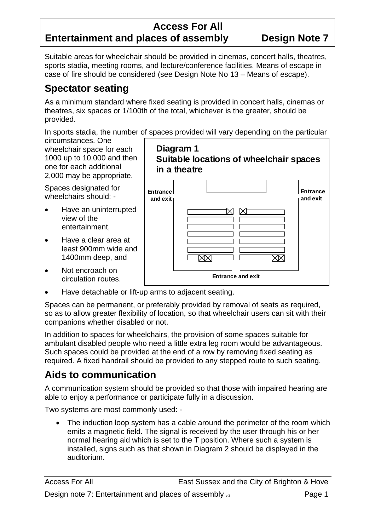### **Access For All Entertainment and places of assembly Design Note 7**

Suitable areas for wheelchair should be provided in cinemas, concert halls, theatres, sports stadia, meeting rooms, and lecture/conference facilities. Means of escape in case of fire should be considered (see Design Note No 13 – Means of escape).

## **Spectator seating**

As a minimum standard where fixed seating is provided in concert halls, cinemas or theatres, six spaces or 1/100th of the total, whichever is the greater, should be provided.

In sports stadia, the number of spaces provided will vary depending on the particular

**Diagram 1** 

circumstances. One wheelchair space for each 1000 up to 10,000 and then one for each additional 2,000 may be appropriate.

Spaces designated for wheelchairs should: -

- Have an uninterrupted view of the entertainment,
- least 900mm wide and • Have a clear area at 1400mm deep, and
- Not encroach on circulation routes.
- **Suitable locations of wheelchair spaces in a theatre Entrance and exit Entrance and exit**

**Entrance and exit** 

• Have detachable or lift-up arms to adjacent seating.

Spaces can be permanent, or preferably provided by removal of seats as required, so as to allow greater flexibility of location, so that wheelchair users can sit with their companions whether disabled or not.

In addition to spaces for wheelchairs, the provision of some spaces suitable for ambulant disabled people who need a little extra leg room would be advantageous. required. A fixed handrail should be provided to any stepped route to such seating. Such spaces could be provided at the end of a row by removing fixed seating as

## **Aids to communication**

A communication system should be provided so that those with impaired hearing are able to enjoy a performance or participate fully in a discussion.

Two systems are most commonly used: -

• The induction loop system has a cable around the perimeter of the room which emits a magnetic field. The signal is received by the user through his or her normal hearing aid which is set to the T position. Where such a system is installed, signs such as that shown in Diagram 2 should be displayed in the auditorium.